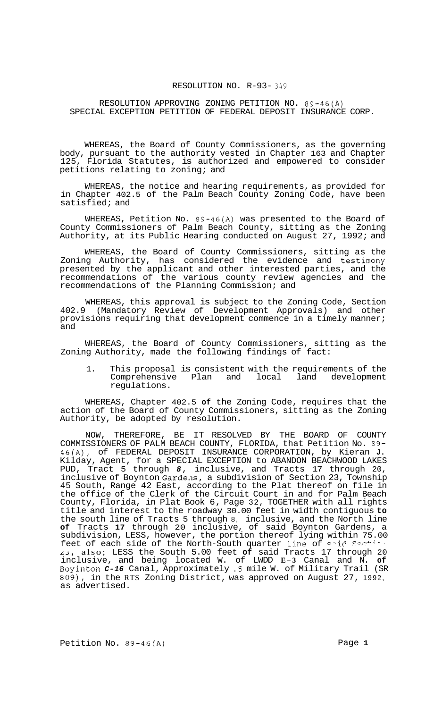## RESOLUTION NO. R-93- *349*

## RESOLUTION APPROVING ZONING PETITION NO. 89-46(A) SPECIAL EXCEPTION PETITION OF FEDERAL DEPOSIT INSURANCE CORP.

WHEREAS, the Board of County Commissioners, as the governing body, pursuant to the authority vested in Chapter 163 and Chapter 125, Florida Statutes, is authorized and empowered to consider petitions relating to zoning; and

WHEREAS, the notice and hearing requirements, as provided for in Chapter 402.5 of the Palm Beach County Zoning Code, have been satisfied; and

WHEREAS, Petition No. 89-46(A) was presented to the Board of County Commissioners of Palm Beach County, sitting as the Zoning Authority, at its Public Hearing conducted on August 27, 1992; and

WHEREAS, the Board of County Commissioners, sitting as the Zoning Authority, has considered the evidence and testinony presented by the applicant and other interested parties, and the recommendations of the various county review agencies and the recommendations of the Planning Commission; and

WHEREAS, this approval is subject to the Zoning Code, Section 402.9 (Mandatory Review of Development Approvals) and other provisions requiring that development commence in a timely manner; and

WHEREAS, the Board of County Commissioners, sitting as the Zoning Authority, made the following findings of fact:

1. This proposal is consistent with the requirements of the Comprehensive Plan and local land development regulations.

WHEREAS, Chapter 402.5 **of** the Zoning Code, requires that the action of the Board of County Commissioners, sitting as the Zoning Authority, be adopted by resolution.

NOW, THEREFORE, BE IT RESOLVED BY THE BOARD OF COUNTY COMMISSIONERS OF PALM BEACH COUNTY, FLORIDA, that Petition No. 89- 46(A), of FEDERAL DEPOSIT INSURANCE CORPORATION, by Kieran **J.**  Kilday, Agent, for a SPECIAL EXCEPTION to ABANDON BEACHWOOD LAKES PUD, Tract 5 through *8,* inclusive, and Tracts 17 through 20, inclusive of Boynton Garde.1s, a subdivision of Section 23, Township 45 South, Range 42 East, according to the Plat thereof on file in the office of the Clerk of the Circuit Court in and for Palm Beach County, Florida, in Plat Book 6, Page 32, TOGETHER with all rights title and interest to the roadway 30.00 feet in width contiguous **to**  the south line of Tracts 5 through 8, inclusive, and the North line **of** Tracts **17** through 20 inclusive, of said Boynton Gardens, a subdivision, LESS, however, the portion thereof lying within 75.00 feet of each side of the North-South quarter line of sad Sectical *~3,* also; LESS the South 5.00 feet **of** said Tracts 17 through 20 inclusive, and being located W. of LWDD **E-3** Canal and N. **of**  Boyinton *C-16* Canal, Approximately .5 mile W. of Military Trail (SR 809), in the RTS Zoning District, was approved on August 27, 1992, as advertised.